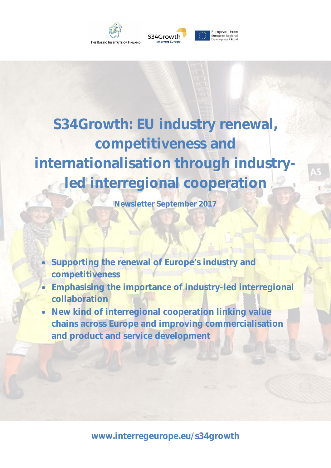

# **S34Growth: EU industry renewal, competitiveness and internationalisation through industryled interregional cooperation**

**Newsletter September 2017** 

- **Supporting the renewal of Europe's industry and competitiveness**
- **Emphasising the importance of industry-led interregional collaboration**
- **New kind of interregional cooperation linking value chains across Europe and improving commercialisation and product and service development**